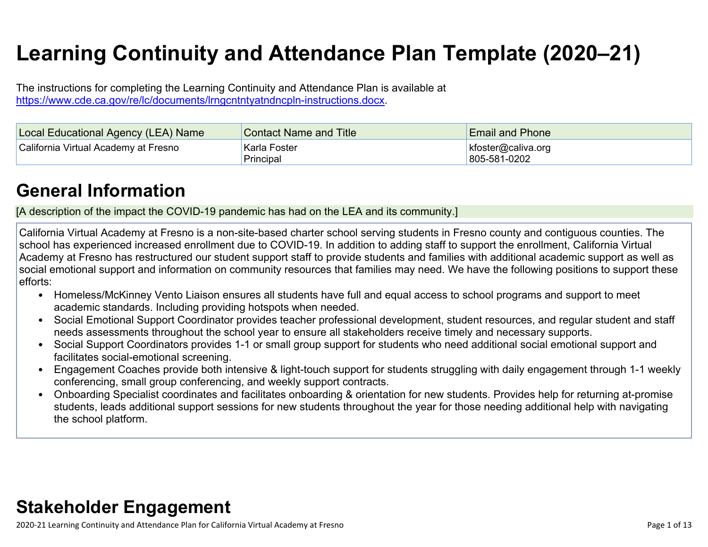# **Learning Continuity and Attendance Plan Template (2020–21)**

The instructions for completing the Learning Continuity and Attendance Plan is available at <https://www.cde.ca.gov/re/lc/documents/lrngcntntyatndncpln-instructions.docx>.

| Local Educational Agency (LEA) Name  | <b>Contact Name and Title</b> | <b>Email and Phone</b>                |
|--------------------------------------|-------------------------------|---------------------------------------|
| California Virtual Academy at Fresno | Karla Foster<br>Principal     | $k$ foster@caliva.org<br>805-581-0202 |

## **General [Information](http://www.doc-tracking.com/screenshots/20LCP/Instructions/20LCPInstructions.htm#generalinformation)**

[A description of the impact the COVID-19 pandemic has had on the LEA and its community.]

California Virtual Academy at Fresno is a non-site-based charter school serving students in Fresno county and contiguous counties. The school has experienced increased enrollment due to COVID-19. In addition to adding staff to support the enrollment, California Virtual Academy at Fresno has restructured our student support staff to provide students and families with additional academic support as well as social emotional support and information on community resources that families may need. We have the following positions to support these efforts:

- Homeless/McKinney Vento Liaison ensures all students have full and equal access to school programs and support to meet academic standards. Including providing hotspots when needed.
- Social Emotional Support Coordinator provides teacher professional development, student resources, and regular student and staff needs assessments throughout the school year to ensure all stakeholders receive timely and necessary supports.
- Social Support Coordinators provides 1-1 or small group support for students who need additional social emotional support and facilitates social-emotional screening.
- Engagement Coaches provide both intensive & light-touch support for students struggling with daily engagement through 1-1 weekly conferencing, small group conferencing, and weekly support contracts.
- Onboarding Specialist coordinates and facilitates onboarding & orientation for new students. Provides help for returning at-promise students, leads additional support sessions for new students throughout the year for those needing additional help with navigating the school platform.

## **Stakeholder [Engagement](http://www.doc-tracking.com/screenshots/20LCP/Instructions/20LCPInstructions.htm#stakeholderengagement)**

2020-21 Learning Continuity and Attendance Plan for California Virtual Academy at Fresno Page 1 of 13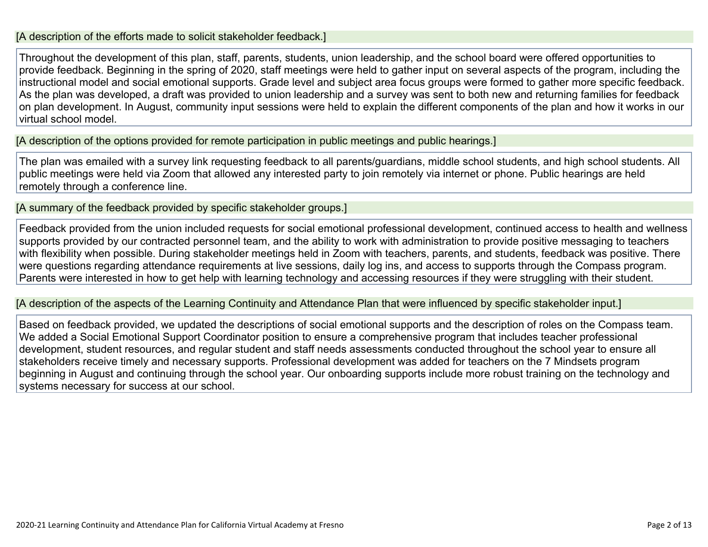#### [A description of the efforts made to solicit stakeholder feedback.]

Throughout the development of this plan, staff, parents, students, union leadership, and the school board were offered opportunities to provide feedback. Beginning in the spring of 2020, staff meetings were held to gather input on several aspects of the program, including the instructional model and social emotional supports. Grade level and subject area focus groups were formed to gather more specific feedback. As the plan was developed, a draft was provided to union leadership and a survey was sent to both new and returning families for feedback on plan development. In August, community input sessions were held to explain the different components of the plan and how it works in our virtual school model.

[A description of the options provided for remote participation in public meetings and public hearings.]

The plan was emailed with a survey link requesting feedback to all parents/guardians, middle school students, and high school students. All public meetings were held via Zoom that allowed any interested party to join remotely via internet or phone. Public hearings are held remotely through a conference line.

[A summary of the feedback provided by specific stakeholder groups.]

Feedback provided from the union included requests for social emotional professional development, continued access to health and wellness supports provided by our contracted personnel team, and the ability to work with administration to provide positive messaging to teachers with flexibility when possible. During stakeholder meetings held in Zoom with teachers, parents, and students, feedback was positive. There were questions regarding attendance requirements at live sessions, daily log ins, and access to supports through the Compass program. Parents were interested in how to get help with learning technology and accessing resources if they were struggling with their student.

[A description of the aspects of the Learning Continuity and Attendance Plan that were influenced by specific stakeholder input.]

Based on feedback provided, we updated the descriptions of social emotional supports and the description of roles on the Compass team. We added a Social Emotional Support Coordinator position to ensure a comprehensive program that includes teacher professional development, student resources, and regular student and staff needs assessments conducted throughout the school year to ensure all stakeholders receive timely and necessary supports. Professional development was added for teachers on the 7 Mindsets program beginning in August and continuing through the school year. Our onboarding supports include more robust training on the technology and systems necessary for success at our school.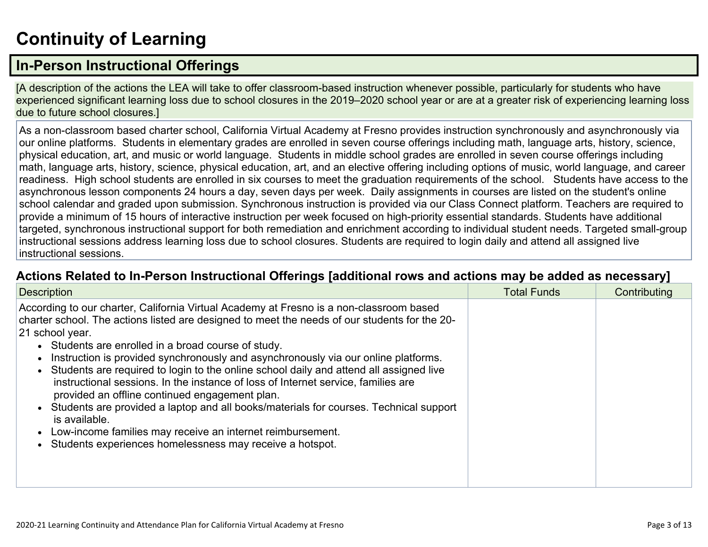# **[Continuity](http://www.doc-tracking.com/screenshots/20LCP/Instructions/20LCPInstructions.htm#ContinuityofLearning) of Learnin[g](http://www.doc-tracking.com/screenshots/20LCP/Instructions/20LCPInstructions.htm#ContinuityofLearning)**

## **In-Person [Instructional](http://www.doc-tracking.com/screenshots/20LCP/Instructions/20LCPInstructions.htm#ContinuityofLearning1) Offerings**

[A description of the actions the LEA will take to offer classroom-based instruction whenever possible, particularly for students who have experienced significant learning loss due to school closures in the 2019–2020 school year or are at a greater risk of experiencing learning loss due to future school closures.]

As a non-classroom based charter school, California Virtual Academy at Fresno provides instruction synchronously and asynchronously via our online platforms. Students in elementary grades are enrolled in seven course offerings including math, language arts, history, science, physical education, art, and music or world language. Students in middle school grades are enrolled in seven course offerings including math, language arts, history, science, physical education, art, and an elective offering including options of music, world language, and career readiness. High school students are enrolled in six courses to meet the graduation requirements of the school. Students have access to the asynchronous lesson components 24 hours a day, seven days per week. Daily assignments in courses are listed on the student's online school calendar and graded upon submission. Synchronous instruction is provided via our Class Connect platform. Teachers are required to provide a minimum of 15 hours of interactive instruction per week focused on high-priority essential standards. Students have additional targeted, synchronous instructional support for both remediation and enrichment according to individual student needs. Targeted small-group instructional sessions address learning loss due to school closures. Students are required to login daily and attend all assigned live instructional sessions.

#### **Actions Related to In-Person [Instructional](http://www.doc-tracking.com/screenshots/20LCP/Instructions/20LCPInstructions.htm#ContinuityofLearning2) Offerings [additional rows and actions may be added as necessary]**

| <b>Description</b>                                                                                                                                                                                                                                                                                                                                                                                                                                                                                                                                                                                                                                                                                                                                                                                                            | <b>Total Funds</b> | Contributing |
|-------------------------------------------------------------------------------------------------------------------------------------------------------------------------------------------------------------------------------------------------------------------------------------------------------------------------------------------------------------------------------------------------------------------------------------------------------------------------------------------------------------------------------------------------------------------------------------------------------------------------------------------------------------------------------------------------------------------------------------------------------------------------------------------------------------------------------|--------------------|--------------|
| According to our charter, California Virtual Academy at Fresno is a non-classroom based<br>charter school. The actions listed are designed to meet the needs of our students for the 20-<br>21 school year.<br>• Students are enrolled in a broad course of study.<br>Instruction is provided synchronously and asynchronously via our online platforms.<br>Students are required to login to the online school daily and attend all assigned live<br>instructional sessions. In the instance of loss of Internet service, families are<br>provided an offline continued engagement plan.<br>Students are provided a laptop and all books/materials for courses. Technical support<br>is available.<br>Low-income families may receive an internet reimbursement.<br>Students experiences homelessness may receive a hotspot. |                    |              |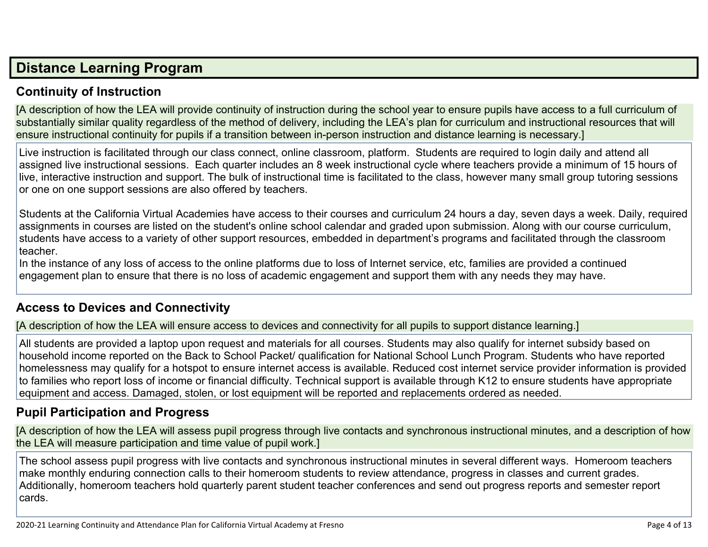## **Distance [Learning](http://www.doc-tracking.com/screenshots/20LCP/Instructions/20LCPInstructions.htm#DistanceLearningProgram) Program**

## **Continuity of [Instruction](http://www.doc-tracking.com/screenshots/20LCP/Instructions/20LCPInstructions.htm#DistanceLearningProgram1)**

[A description of how the LEA will provide continuity of instruction during the school year to ensure pupils have access to a full curriculum of substantially similar quality regardless of the method of delivery, including the LEA's plan for curriculum and instructional resources that will ensure instructional continuity for pupils if a transition between in-person instruction and distance learning is necessary.]

Live instruction is facilitated through our class connect, online classroom, platform. Students are required to login daily and attend all assigned live instructional sessions. Each quarter includes an 8 week instructional cycle where teachers provide a minimum of 15 hours of live, interactive instruction and support. The bulk of instructional time is facilitated to the class, however many small group tutoring sessions or one on one support sessions are also offered by teachers.

Students at the California Virtual Academies have access to their courses and curriculum 24 hours a day, seven days a week. Daily, required assignments in courses are listed on the student's online school calendar and graded upon submission. Along with our course curriculum, students have access to a variety of other support resources, embedded in department's programs and facilitated through the classroom teacher.

In the instance of any loss of access to the online platforms due to loss of Internet service, etc, families are provided a continued engagement plan to ensure that there is no loss of academic engagement and support them with any needs they may have.

#### **Access to Devices and [Connectivity](http://www.doc-tracking.com/screenshots/20LCP/Instructions/20LCPInstructions.htm#DistanceLearningProgram2)**

[A description of how the LEA will ensure access to devices and connectivity for all pupils to support distance learning.]

All students are provided a laptop upon request and materials for all courses. Students may also qualify for internet subsidy based on household income reported on the Back to School Packet/ qualification for National School Lunch Program. Students who have reported homelessness may qualify for a hotspot to ensure internet access is available. Reduced cost internet service provider information is provided to families who report loss of income or financial difficulty. Technical support is available through K12 to ensure students have appropriate equipment and access. Damaged, stolen, or lost equipment will be reported and replacements ordered as needed.

## **Pupil [Participation](http://www.doc-tracking.com/screenshots/20LCP/Instructions/20LCPInstructions.htm#DistanceLearningProgram3) and Progress**

[A description of how the LEA will assess pupil progress through live contacts and synchronous instructional minutes, and a description of how the LEA will measure participation and time value of pupil work.]

The school assess pupil progress with live contacts and synchronous instructional minutes in several different ways. Homeroom teachers make monthly enduring connection calls to their homeroom students to review attendance, progress in classes and current grades. Additionally, homeroom teachers hold quarterly parent student teacher conferences and send out progress reports and semester report cards.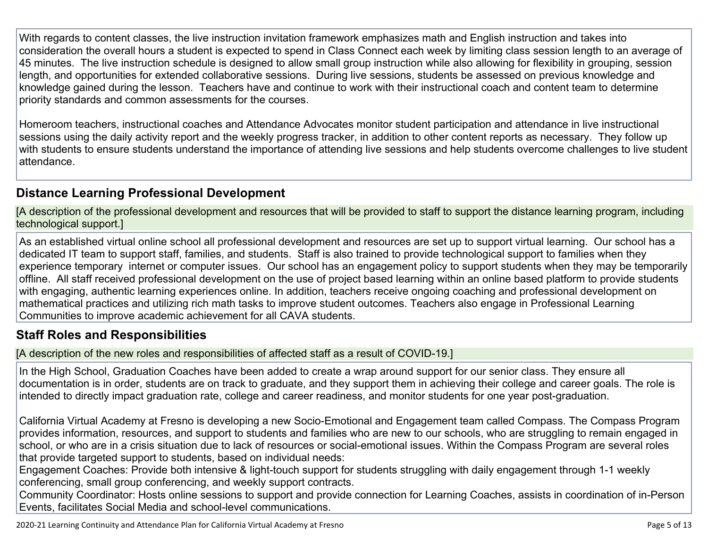With regards to content classes, the live instruction invitation framework emphasizes math and English instruction and takes into consideration the overall hours a student is expected to spend in Class Connect each week by limiting class session length to an average of 45 minutes. The live instruction schedule is designed to allow small group instruction while also allowing for flexibility in grouping, session length, and opportunities for extended collaborative sessions. During live sessions, students be assessed on previous knowledge and knowledge gained during the lesson. Teachers have and continue to work with their instructional coach and content team to determine priority standards and common assessments for the courses.

Homeroom teachers, instructional coaches and Attendance Advocates monitor student participation and attendance in live instructional sessions using the daily activity report and the weekly progress tracker, in addition to other content reports as necessary. They follow up with students to ensure students understand the importance of attending live sessions and help students overcome challenges to live student attendance.

## **Distance Learning Professional [Development](http://www.doc-tracking.com/screenshots/20LCP/Instructions/20LCPInstructions.htm#DistanceLearningProgram4)**

[A description of the professional development and resources that will be provided to staff to support the distance learning program, including technological support.]

As an established virtual online school all professional development and resources are set up to support virtual learning. Our school has a dedicated IT team to support staff, families, and students. Staff is also trained to provide technological support to families when they experience temporary internet or computer issues. Our school has an engagement policy to support students when they may be temporarily offline. All staff received professional development on the use of project based learning within an online based platform to provide students with engaging, authentic learning experiences online. In addition, teachers receive ongoing coaching and professional development on mathematical practices and utilizing rich math tasks to improve student outcomes. Teachers also engage in Professional Learning Communities to improve academic achievement for all CAVA students.

#### **Staff Roles and [Responsibilities](http://www.doc-tracking.com/screenshots/20LCP/Instructions/20LCPInstructions.htm#DistanceLearningProgram5)**

[A description of the new roles and responsibilities of affected staff as a result of COVID-19.]

In the High School, Graduation Coaches have been added to create a wrap around support for our senior class. They ensure all documentation is in order, students are on track to graduate, and they support them in achieving their college and career goals. The role is intended to directly impact graduation rate, college and career readiness, and monitor students for one year post-graduation.

California Virtual Academy at Fresno is developing a new Socio-Emotional and Engagement team called Compass. The Compass Program provides information, resources, and support to students and families who are new to our schools, who are struggling to remain engaged in school, or who are in a crisis situation due to lack of resources or social-emotional issues. Within the Compass Program are several roles that provide targeted support to students, based on individual needs:

Engagement Coaches: Provide both intensive & light-touch support for students struggling with daily engagement through 1-1 weekly conferencing, small group conferencing, and weekly support contracts.

Community Coordinator: Hosts online sessions to support and provide connection for Learning Coaches, assists in coordination of in-Person Events, facilitates Social Media and school-level communications.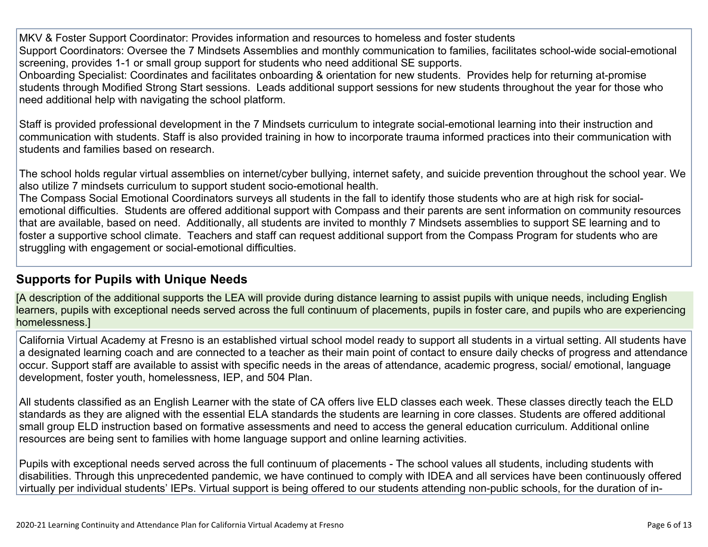MKV & Foster Support Coordinator: Provides information and resources to homeless and foster students Support Coordinators: Oversee the 7 Mindsets Assemblies and monthly communication to families, facilitates school-wide social-emotional screening, provides 1-1 or small group support for students who need additional SE supports.

Onboarding Specialist: Coordinates and facilitates onboarding & orientation for new students. Provides help for returning at-promise students through Modified Strong Start sessions. Leads additional support sessions for new students throughout the year for those who need additional help with navigating the school platform.

Staff is provided professional development in the 7 Mindsets curriculum to integrate social-emotional learning into their instruction and communication with students. Staff is also provided training in how to incorporate trauma informed practices into their communication with students and families based on research.

The school holds regular virtual assemblies on internet/cyber bullying, internet safety, and suicide prevention throughout the school year. We also utilize 7 mindsets curriculum to support student socio-emotional health.

The Compass Social Emotional Coordinators surveys all students in the fall to identify those students who are at high risk for socialemotional difficulties. Students are offered additional support with Compass and their parents are sent information on community resources that are available, based on need. Additionally, all students are invited to monthly 7 Mindsets assemblies to support SE learning and to foster a supportive school climate. Teachers and staff can request additional support from the Compass Program for students who are struggling with engagement or social-emotional difficulties.

#### **[Supports](http://www.doc-tracking.com/screenshots/20LCP/Instructions/20LCPInstructions.htm#DistanceLearningProgram6) for Pupils with Unique Needs**

[A description of the additional supports the LEA will provide during distance learning to assist pupils with unique needs, including English learners, pupils with exceptional needs served across the full continuum of placements, pupils in foster care, and pupils who are experiencing homelessness.]

California Virtual Academy at Fresno is an established virtual school model ready to support all students in a virtual setting. All students have a designated learning coach and are connected to a teacher as their main point of contact to ensure daily checks of progress and attendance occur. Support staff are available to assist with specific needs in the areas of attendance, academic progress, social/ emotional, language development, foster youth, homelessness, IEP, and 504 Plan.

All students classified as an English Learner with the state of CA offers live ELD classes each week. These classes directly teach the ELD standards as they are aligned with the essential ELA standards the students are learning in core classes. Students are offered additional small group ELD instruction based on formative assessments and need to access the general education curriculum. Additional online resources are being sent to families with home language support and online learning activities.

Pupils with exceptional needs served across the full continuum of placements - The school values all students, including students with disabilities. Through this unprecedented pandemic, we have continued to comply with IDEA and all services have been continuously offered virtually per individual students' IEPs. Virtual support is being offered to our students attending non-public schools, for the duration of in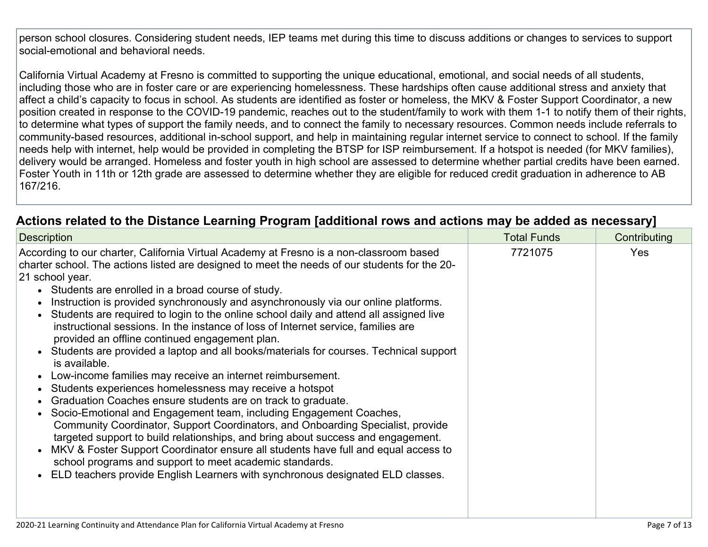person school closures. Considering student needs, IEP teams met during this time to discuss additions or changes to services to support social-emotional and behavioral needs.

California Virtual Academy at Fresno is committed to supporting the unique educational, emotional, and social needs of all students, including those who are in foster care or are experiencing homelessness. These hardships often cause additional stress and anxiety that affect a child's capacity to focus in school. As students are identified as foster or homeless, the MKV & Foster Support Coordinator, a new position created in response to the COVID-19 pandemic, reaches out to the student/family to work with them 1-1 to notify them of their rights, to determine what types of support the family needs, and to connect the family to necessary resources. Common needs include referrals to community-based resources, additional in-school support, and help in maintaining regular internet service to connect to school. If the family needs help with internet, help would be provided in completing the BTSP for ISP reimbursement. If a hotspot is needed (for MKV families), delivery would be arranged. Homeless and foster youth in high school are assessed to determine whether partial credits have been earned. Foster Youth in 11th or 12th grade are assessed to determine whether they are eligible for reduced credit graduation in adherence to AB 167/216.

| Actions related to the Distance Learning Program [additional rows and actions may be added as necessary] |
|----------------------------------------------------------------------------------------------------------|
|----------------------------------------------------------------------------------------------------------|

| <b>Description</b>                                                                                                                                                                                                                                                                                                                                                                                                                                                                                                                                                                                                                                                                                                                                                                                                                                                                                                                                                                                                                                                                                                                                                                                                                                                                                                                                                           | <b>Total Funds</b> | Contributing |  |
|------------------------------------------------------------------------------------------------------------------------------------------------------------------------------------------------------------------------------------------------------------------------------------------------------------------------------------------------------------------------------------------------------------------------------------------------------------------------------------------------------------------------------------------------------------------------------------------------------------------------------------------------------------------------------------------------------------------------------------------------------------------------------------------------------------------------------------------------------------------------------------------------------------------------------------------------------------------------------------------------------------------------------------------------------------------------------------------------------------------------------------------------------------------------------------------------------------------------------------------------------------------------------------------------------------------------------------------------------------------------------|--------------------|--------------|--|
| According to our charter, California Virtual Academy at Fresno is a non-classroom based<br>charter school. The actions listed are designed to meet the needs of our students for the 20-<br>21 school year.<br>• Students are enrolled in a broad course of study.<br>Instruction is provided synchronously and asynchronously via our online platforms.<br>Students are required to login to the online school daily and attend all assigned live<br>instructional sessions. In the instance of loss of Internet service, families are<br>provided an offline continued engagement plan.<br>Students are provided a laptop and all books/materials for courses. Technical support<br>is available.<br>Low-income families may receive an internet reimbursement.<br>Students experiences homelessness may receive a hotspot<br>Graduation Coaches ensure students are on track to graduate.<br>Socio-Emotional and Engagement team, including Engagement Coaches,<br>Community Coordinator, Support Coordinators, and Onboarding Specialist, provide<br>targeted support to build relationships, and bring about success and engagement.<br>MKV & Foster Support Coordinator ensure all students have full and equal access to<br>school programs and support to meet academic standards.<br>ELD teachers provide English Learners with synchronous designated ELD classes. | 7721075            | Yes          |  |
|                                                                                                                                                                                                                                                                                                                                                                                                                                                                                                                                                                                                                                                                                                                                                                                                                                                                                                                                                                                                                                                                                                                                                                                                                                                                                                                                                                              |                    |              |  |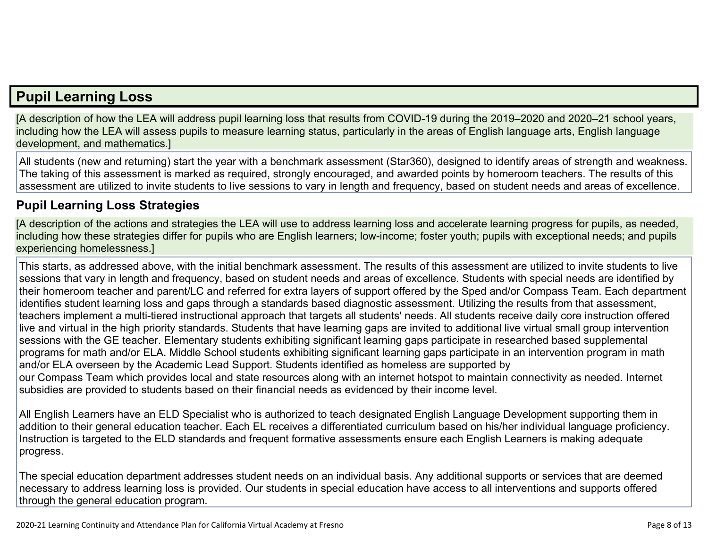## **Pupil [Learning](http://www.doc-tracking.com/screenshots/20LCP/Instructions/20LCPInstructions.htm#PupilLearningLoss) Loss**

[A description of how the LEA will address pupil learning loss that results from COVID-19 during the 2019–2020 and 2020–21 school years, including how the LEA will assess pupils to measure learning status, particularly in the areas of English language arts, English language development, and mathematics.]

All students (new and returning) start the year with a benchmark assessment (Star360), designed to identify areas of strength and weakness. The taking of this assessment is marked as required, strongly encouraged, and awarded points by homeroom teachers. The results of this assessment are utilized to invite students to live sessions to vary in length and frequency, based on student needs and areas of excellence.

### **Pupil Learning Loss [Strategies](http://www.doc-tracking.com/screenshots/20LCP/Instructions/20LCPInstructions.htm#PupilLearningLoss1)**

[A description of the actions and strategies the LEA will use to address learning loss and accelerate learning progress for pupils, as needed, including how these strategies differ for pupils who are English learners; low-income; foster youth; pupils with exceptional needs; and pupils experiencing homelessness.]

This starts, as addressed above, with the initial benchmark assessment. The results of this assessment are utilized to invite students to live sessions that vary in length and frequency, based on student needs and areas of excellence. Students with special needs are identified by their homeroom teacher and parent/LC and referred for extra layers of support offered by the Sped and/or Compass Team. Each department identifies student learning loss and gaps through a standards based diagnostic assessment. Utilizing the results from that assessment, teachers implement a multi-tiered instructional approach that targets all students' needs. All students receive daily core instruction offered live and virtual in the high priority standards. Students that have learning gaps are invited to additional live virtual small group intervention sessions with the GE teacher. Elementary students exhibiting significant learning gaps participate in researched based supplemental programs for math and/or ELA. Middle School students exhibiting significant learning gaps participate in an intervention program in math and/or ELA overseen by the Academic Lead Support. Students identified as homeless are supported by our Compass Team which provides local and state resources along with an internet hotspot to maintain connectivity as needed. Internet subsidies are provided to students based on their financial needs as evidenced by their income level.

All English Learners have an ELD Specialist who is authorized to teach designated English Language Development supporting them in addition to their general education teacher. Each EL receives a differentiated curriculum based on his/her individual language proficiency. Instruction is targeted to the ELD standards and frequent formative assessments ensure each English Learners is making adequate progress.

The special education department addresses student needs on an individual basis. Any additional supports or services that are deemed necessary to address learning loss is provided. Our students in special education have access to all interventions and supports offered through the general education program.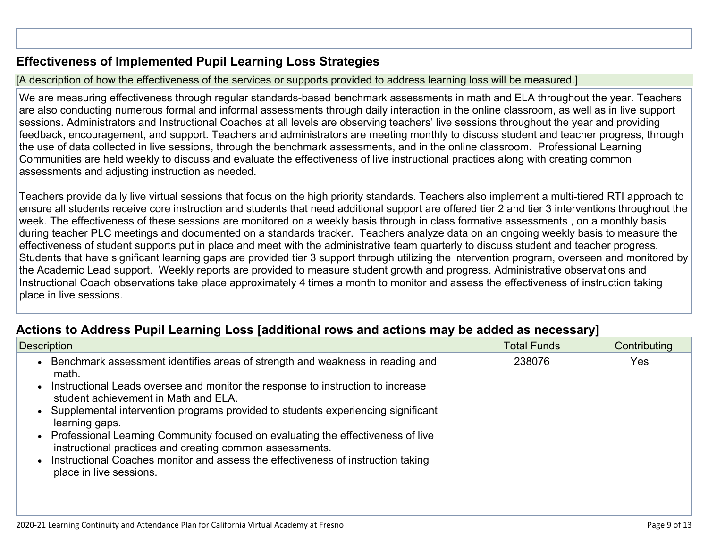## **[Effectiveness](http://www.doc-tracking.com/screenshots/20LCP/Instructions/20LCPInstructions.htm#PupilLearningLoss2) of Implemented Pupil Learning Loss Strategies**

#### [A description of how the effectiveness of the services or supports provided to address learning loss will be measured.]

We are measuring effectiveness through regular standards-based benchmark assessments in math and ELA throughout the year. Teachers are also conducting numerous formal and informal assessments through daily interaction in the online classroom, as well as in live support sessions. Administrators and Instructional Coaches at all levels are observing teachers' live sessions throughout the year and providing feedback, encouragement, and support. Teachers and administrators are meeting monthly to discuss student and teacher progress, through the use of data collected in live sessions, through the benchmark assessments, and in the online classroom. Professional Learning Communities are held weekly to discuss and evaluate the effectiveness of live instructional practices along with creating common assessments and adjusting instruction as needed.

Teachers provide daily live virtual sessions that focus on the high priority standards. Teachers also implement a multi-tiered RTI approach to ensure all students receive core instruction and students that need additional support are offered tier 2 and tier 3 interventions throughout the week. The effectiveness of these sessions are monitored on a weekly basis through in class formative assessments , on a monthly basis during teacher PLC meetings and documented on a standards tracker. Teachers analyze data on an ongoing weekly basis to measure the effectiveness of student supports put in place and meet with the administrative team quarterly to discuss student and teacher progress. Students that have significant learning gaps are provided tier 3 support through utilizing the intervention program, overseen and monitored by the Academic Lead support. Weekly reports are provided to measure student growth and progress. Administrative observations and Instructional Coach observations take place approximately 4 times a month to monitor and assess the effectiveness of instruction taking place in live sessions.

## **Actions to Address Pupil Learning Loss [additional rows and actions may be added as [necessary\]](http://www.doc-tracking.com/screenshots/20LCP/Instructions/20LCPInstructions.htm#PupilLearningLoss4)**

| 238076<br>Benchmark assessment identifies areas of strength and weakness in reading and<br>Yes<br>math.<br>Instructional Leads oversee and monitor the response to instruction to increase<br>student achievement in Math and ELA.<br>Supplemental intervention programs provided to students experiencing significant<br>learning gaps.<br>• Professional Learning Community focused on evaluating the effectiveness of live<br>instructional practices and creating common assessments.<br>Instructional Coaches monitor and assess the effectiveness of instruction taking<br>place in live sessions. | <b>Description</b> | <b>Total Funds</b> | Contributing |
|----------------------------------------------------------------------------------------------------------------------------------------------------------------------------------------------------------------------------------------------------------------------------------------------------------------------------------------------------------------------------------------------------------------------------------------------------------------------------------------------------------------------------------------------------------------------------------------------------------|--------------------|--------------------|--------------|
|                                                                                                                                                                                                                                                                                                                                                                                                                                                                                                                                                                                                          |                    |                    |              |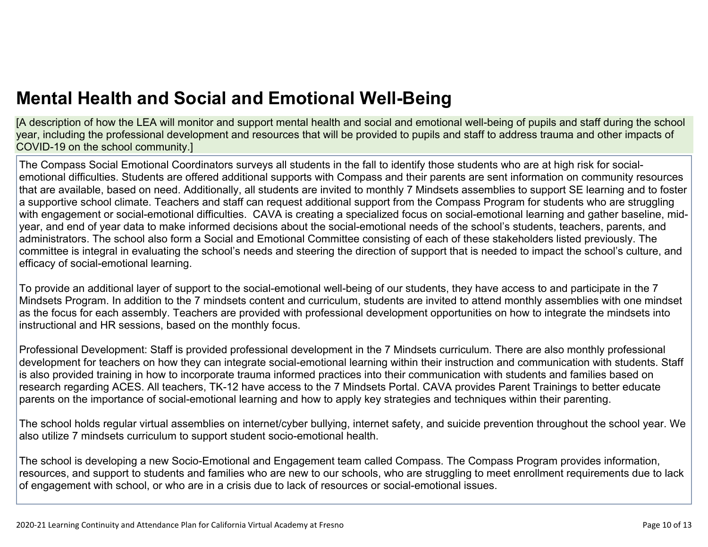[A description of how the LEA will monitor and support mental health and social and emotional well-being of pupils and staff during the school year, including the professional development and resources that will be provided to pupils and staff to address trauma and other impacts of COVID-19 on the school community.]

The Compass Social Emotional Coordinators surveys all students in the fall to identify those students who are at high risk for socialemotional difficulties. Students are offered additional supports with Compass and their parents are sent information on community resources that are available, based on need. Additionally, all students are invited to monthly 7 Mindsets assemblies to support SE learning and to foster a supportive school climate. Teachers and staff can request additional support from the Compass Program for students who are struggling with engagement or social-emotional difficulties. CAVA is creating a specialized focus on social-emotional learning and gather baseline, midyear, and end of year data to make informed decisions about the social-emotional needs of the school's students, teachers, parents, and administrators. The school also form a Social and Emotional Committee consisting of each of these stakeholders listed previously. The committee is integral in evaluating the school's needs and steering the direction of support that is needed to impact the school's culture, and efficacy of social-emotional learning.

To provide an additional layer of support to the social-emotional well-being of our students, they have access to and participate in the 7 Mindsets Program. In addition to the 7 mindsets content and curriculum, students are invited to attend monthly assemblies with one mindset as the focus for each assembly. Teachers are provided with professional development opportunities on how to integrate the mindsets into instructional and HR sessions, based on the monthly focus.

Professional Development: Staff is provided professional development in the 7 Mindsets curriculum. There are also monthly professional development for teachers on how they can integrate social-emotional learning within their instruction and communication with students. Staff is also provided training in how to incorporate trauma informed practices into their communication with students and families based on research regarding ACES. All teachers, TK-12 have access to the 7 Mindsets Portal. CAVA provides Parent Trainings to better educate parents on the importance of social-emotional learning and how to apply key strategies and techniques within their parenting.

The school holds regular virtual assemblies on internet/cyber bullying, internet safety, and suicide prevention throughout the school year. We also utilize 7 mindsets curriculum to support student socio-emotional health.

The school is developing a new Socio-Emotional and Engagement team called Compass. The Compass Program provides information, resources, and support to students and families who are new to our schools, who are struggling to meet enrollment requirements due to lack of engagement with school, or who are in a crisis due to lack of resources or social-emotional issues.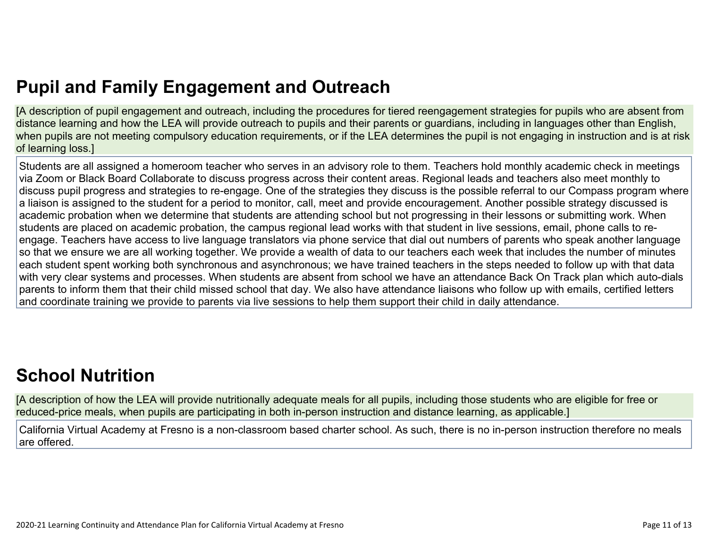# **Pupil and Family [Engagement](http://www.doc-tracking.com/screenshots/20LCP/Instructions/20LCPInstructions.htm#PupilEngagementandOutreach) and Outreach**

[A description of pupil engagement and outreach, including the procedures for tiered reengagement strategies for pupils who are absent from distance learning and how the LEA will provide outreach to pupils and their parents or guardians, including in languages other than English, when pupils are not meeting compulsory education requirements, or if the LEA determines the pupil is not engaging in instruction and is at risk of learning loss.]

Students are all assigned a homeroom teacher who serves in an advisory role to them. Teachers hold monthly academic check in meetings via Zoom or Black Board Collaborate to discuss progress across their content areas. Regional leads and teachers also meet monthly to discuss pupil progress and strategies to re-engage. One of the strategies they discuss is the possible referral to our Compass program where a liaison is assigned to the student for a period to monitor, call, meet and provide encouragement. Another possible strategy discussed is academic probation when we determine that students are attending school but not progressing in their lessons or submitting work. When students are placed on academic probation, the campus regional lead works with that student in live sessions, email, phone calls to reengage. Teachers have access to live language translators via phone service that dial out numbers of parents who speak another language so that we ensure we are all working together. We provide a wealth of data to our teachers each week that includes the number of minutes each student spent working both synchronous and asynchronous; we have trained teachers in the steps needed to follow up with that data with very clear systems and processes. When students are absent from school we have an attendance Back On Track plan which auto-dials parents to inform them that their child missed school that day. We also have attendance liaisons who follow up with emails, certified letters and coordinate training we provide to parents via live sessions to help them support their child in daily attendance.

# **School [Nutrition](http://www.doc-tracking.com/screenshots/20LCP/Instructions/20LCPInstructions.htm#SchoolNutrition)**

[A description of how the LEA will provide nutritionally adequate meals for all pupils, including those students who are eligible for free or reduced-price meals, when pupils are participating in both in-person instruction and distance learning, as applicable.]

California Virtual Academy at Fresno is a non-classroom based charter school. As such, there is no in-person instruction therefore no meals are offered.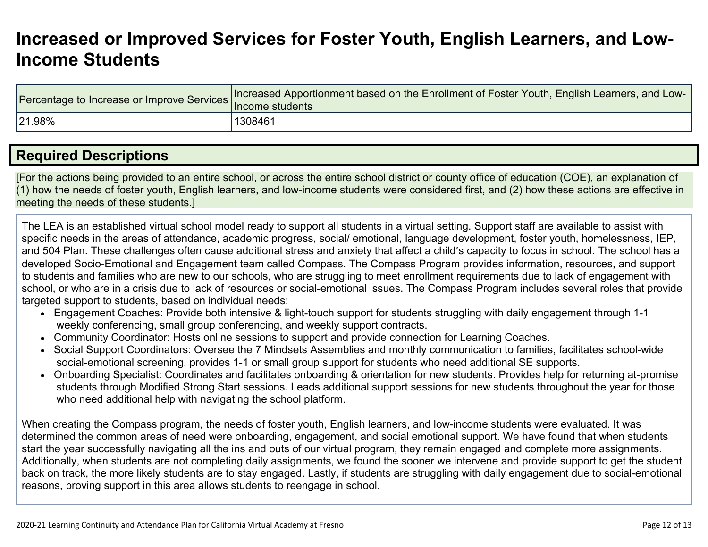## **[Increased](http://www.doc-tracking.com/screenshots/20LCP/Instructions/20LCPInstructions.htm#IncreasedorImprovedServices) or Improved Services for Foster Youth, English Learners, and Low-Income [Students](http://www.doc-tracking.com/screenshots/20LCP/Instructions/20LCPInstructions.htm#IncreasedorImprovedServices)**

| Percentage to Increase or Improve Services  Increased Apport | Increased Apportionment based on the Enrollment of Foster Youth, English Learners, and Low- |
|--------------------------------------------------------------|---------------------------------------------------------------------------------------------|
| 21.98%                                                       | 1308461                                                                                     |

## **Required [Descriptions](http://www.doc-tracking.com/screenshots/20LCP/Instructions/20LCPInstructions.htm#RequiredDescriptions)**

[For the actions being provided to an entire school, or across the entire school district or county office of education (COE), an explanation of (1) how the needs of foster youth, English learners, and low-income students were considered first, and (2) how these actions are effective in meeting the needs of these students.]

The LEA is an established virtual school model ready to support all students in a virtual setting. Support staff are available to assist with specific needs in the areas of attendance, academic progress, social/ emotional, language development, foster youth, homelessness, IEP, and 504 Plan. These challenges often cause additional stress and anxiety that affect a child's capacity to focus in school. The school has a developed Socio-Emotional and Engagement team called Compass. The Compass Program provides information, resources, and support to students and families who are new to our schools, who are struggling to meet enrollment requirements due to lack of engagement with school, or who are in a crisis due to lack of resources or social-emotional issues. The Compass Program includes several roles that provide targeted support to students, based on individual needs:

- Engagement Coaches: Provide both intensive & light-touch support for students struggling with daily engagement through 1-1 weekly conferencing, small group conferencing, and weekly support contracts.
- Community Coordinator: Hosts online sessions to support and provide connection for Learning Coaches.
- Social Support Coordinators: Oversee the 7 Mindsets Assemblies and monthly communication to families, facilitates school-wide social-emotional screening, provides 1-1 or small group support for students who need additional SE supports.
- Onboarding Specialist: Coordinates and facilitates onboarding & orientation for new students. Provides help for returning at-promise students through Modified Strong Start sessions. Leads additional support sessions for new students throughout the year for those who need additional help with navigating the school platform.

When creating the Compass program, the needs of foster youth, English learners, and low-income students were evaluated. It was determined the common areas of need were onboarding, engagement, and social emotional support. We have found that when students start the year successfully navigating all the ins and outs of our virtual program, they remain engaged and complete more assignments. Additionally, when students are not completing daily assignments, we found the sooner we intervene and provide support to get the student back on track, the more likely students are to stay engaged. Lastly, if students are struggling with daily engagement due to social-emotional reasons, proving support in this area allows students to reengage in school.